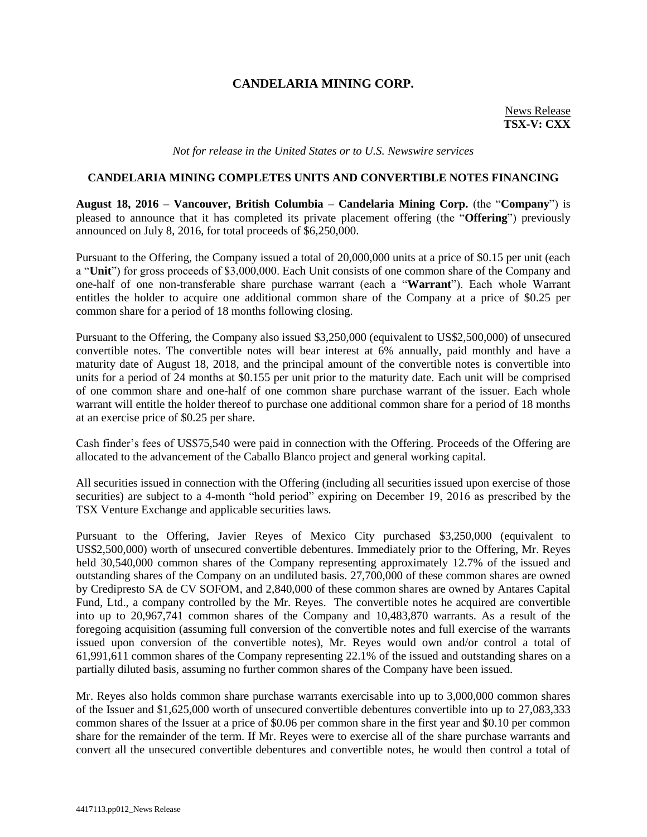## **CANDELARIA MINING CORP.**

News Release **TSX-V: CXX**

*Not for release in the United States or to U.S. Newswire services*

## **CANDELARIA MINING COMPLETES UNITS AND CONVERTIBLE NOTES FINANCING**

**August 18, 2016 – Vancouver, British Columbia – Candelaria Mining Corp.** (the "**Company**") is pleased to announce that it has completed its private placement offering (the "**Offering**") previously announced on July 8, 2016, for total proceeds of \$6,250,000.

Pursuant to the Offering, the Company issued a total of 20,000,000 units at a price of \$0.15 per unit (each a "**Unit**") for gross proceeds of \$3,000,000. Each Unit consists of one common share of the Company and one-half of one non-transferable share purchase warrant (each a "**Warrant**"). Each whole Warrant entitles the holder to acquire one additional common share of the Company at a price of \$0.25 per common share for a period of 18 months following closing.

Pursuant to the Offering, the Company also issued \$3,250,000 (equivalent to US\$2,500,000) of unsecured convertible notes. The convertible notes will bear interest at 6% annually, paid monthly and have a maturity date of August 18, 2018, and the principal amount of the convertible notes is convertible into units for a period of 24 months at \$0.155 per unit prior to the maturity date. Each unit will be comprised of one common share and one-half of one common share purchase warrant of the issuer. Each whole warrant will entitle the holder thereof to purchase one additional common share for a period of 18 months at an exercise price of \$0.25 per share.

Cash finder's fees of US\$75,540 were paid in connection with the Offering. Proceeds of the Offering are allocated to the advancement of the Caballo Blanco project and general working capital.

All securities issued in connection with the Offering (including all securities issued upon exercise of those securities) are subject to a 4-month "hold period" expiring on December 19, 2016 as prescribed by the TSX Venture Exchange and applicable securities laws.

Pursuant to the Offering, Javier Reyes of Mexico City purchased \$3,250,000 (equivalent to US\$2,500,000) worth of unsecured convertible debentures. Immediately prior to the Offering, Mr. Reyes held 30,540,000 common shares of the Company representing approximately 12.7% of the issued and outstanding shares of the Company on an undiluted basis. 27,700,000 of these common shares are owned by Credipresto SA de CV SOFOM, and 2,840,000 of these common shares are owned by Antares Capital Fund, Ltd., a company controlled by the Mr. Reyes. The convertible notes he acquired are convertible into up to 20,967,741 common shares of the Company and 10,483,870 warrants. As a result of the foregoing acquisition (assuming full conversion of the convertible notes and full exercise of the warrants issued upon conversion of the convertible notes), Mr. Reyes would own and/or control a total of 61,991,611 common shares of the Company representing 22.1% of the issued and outstanding shares on a partially diluted basis, assuming no further common shares of the Company have been issued.

Mr. Reyes also holds common share purchase warrants exercisable into up to 3,000,000 common shares of the Issuer and \$1,625,000 worth of unsecured convertible debentures convertible into up to 27,083,333 common shares of the Issuer at a price of \$0.06 per common share in the first year and \$0.10 per common share for the remainder of the term. If Mr. Reyes were to exercise all of the share purchase warrants and convert all the unsecured convertible debentures and convertible notes, he would then control a total of